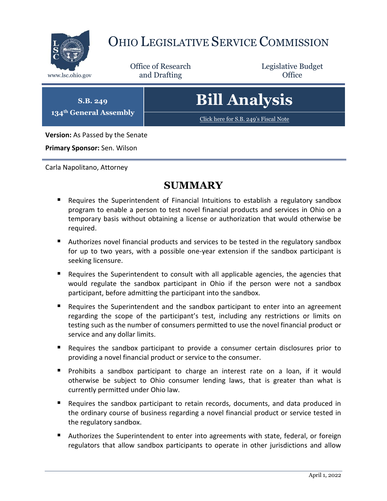

## OHIO LEGISLATIVE SERVICE COMMISSION

Office of Research www.lsc.ohio.gov **and Drafting Office** 

Legislative Budget

**S.B. 249 134th General Assembly**

# **Bill Analysis**

[Click here for S.B. 249](https://www.legislature.ohio.gov/legislation/legislation-documents?id=GA134-SB-249)'s Fiscal Note

**Version:** As Passed by the Senate

**Primary Sponsor:** Sen. Wilson

Carla Napolitano, Attorney

## **SUMMARY**

- Requires the Superintendent of Financial Intuitions to establish a regulatory sandbox program to enable a person to test novel financial products and services in Ohio on a temporary basis without obtaining a license or authorization that would otherwise be required.
- Authorizes novel financial products and services to be tested in the regulatory sandbox for up to two years, with a possible one-year extension if the sandbox participant is seeking licensure.
- **Requires the Superintendent to consult with all applicable agencies, the agencies that** would regulate the sandbox participant in Ohio if the person were not a sandbox participant, before admitting the participant into the sandbox.
- Requires the Superintendent and the sandbox participant to enter into an agreement regarding the scope of the participant's test, including any restrictions or limits on testing such as the number of consumers permitted to use the novel financial product or service and any dollar limits.
- Requires the sandbox participant to provide a consumer certain disclosures prior to providing a novel financial product or service to the consumer.
- Prohibits a sandbox participant to charge an interest rate on a loan, if it would otherwise be subject to Ohio consumer lending laws, that is greater than what is currently permitted under Ohio law.
- Requires the sandbox participant to retain records, documents, and data produced in the ordinary course of business regarding a novel financial product or service tested in the regulatory sandbox.
- **Authorizes the Superintendent to enter into agreements with state, federal, or foreign** regulators that allow sandbox participants to operate in other jurisdictions and allow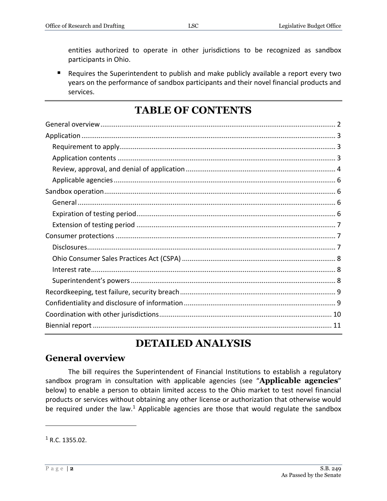entities authorized to operate in other jurisdictions to be recognized as sandbox participants in Ohio.

 Requires the Superintendent to publish and make publicly available a report every two years on the performance of sandbox participants and their novel financial products and services.

## **TABLE OF CONTENTS**

## **DETAILED ANALYSIS**

#### <span id="page-1-0"></span>**General overview**

The bill requires the Superintendent of Financial Institutions to establish a regulatory sandbox program in consultation with applicable agencies (see "**Applicable agencies**" below) to enable a person to obtain limited access to the Ohio market to test novel financial products or services without obtaining any other license or authorization that otherwise would be required under the law.<sup>1</sup> Applicable agencies are those that would regulate the sandbox

 $1 R.C. 1355.02.$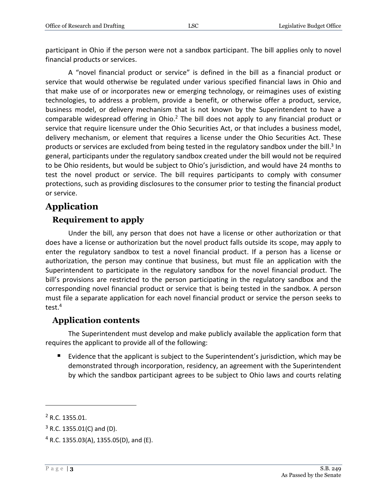participant in Ohio if the person were not a sandbox participant. The bill applies only to novel financial products or services.

A "novel financial product or service" is defined in the bill as a financial product or service that would otherwise be regulated under various specified financial laws in Ohio and that make use of or incorporates new or emerging technology, or reimagines uses of existing technologies, to address a problem, provide a benefit, or otherwise offer a product, service, business model, or delivery mechanism that is not known by the Superintendent to have a comparable widespread offering in Ohio.<sup>2</sup> The bill does not apply to any financial product or service that require licensure under the Ohio Securities Act, or that includes a business model, delivery mechanism, or element that requires a license under the Ohio Securities Act. These products or services are excluded from being tested in the regulatory sandbox under the bill.<sup>3</sup> In general, participants under the regulatory sandbox created under the bill would not be required to be Ohio residents, but would be subject to Ohio's jurisdiction, and would have 24 months to test the novel product or service. The bill requires participants to comply with consumer protections, such as providing disclosures to the consumer prior to testing the financial product or service.

## <span id="page-2-0"></span>**Application**

#### <span id="page-2-1"></span>**Requirement to apply**

Under the bill, any person that does not have a license or other authorization or that does have a license or authorization but the novel product falls outside its scope, may apply to enter the regulatory sandbox to test a novel financial product. If a person has a license or authorization, the person may continue that business, but must file an application with the Superintendent to participate in the regulatory sandbox for the novel financial product. The bill's provisions are restricted to the person participating in the regulatory sandbox and the corresponding novel financial product or service that is being tested in the sandbox. A person must file a separate application for each novel financial product or service the person seeks to test.<sup>4</sup>

#### <span id="page-2-2"></span>**Application contents**

The Superintendent must develop and make publicly available the application form that requires the applicant to provide all of the following:

 Evidence that the applicant is subject to the Superintendent's jurisdiction, which may be demonstrated through incorporation, residency, an agreement with the Superintendent by which the sandbox participant agrees to be subject to Ohio laws and courts relating

<sup>2</sup> R.C. 1355.01.

 $3$  R.C. 1355.01(C) and (D).

 $4$  R.C. 1355.03(A), 1355.05(D), and (E).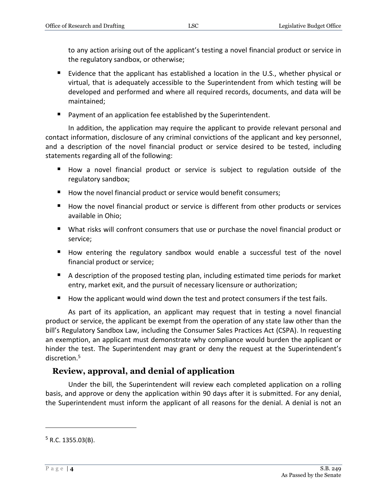to any action arising out of the applicant's testing a novel financial product or service in the regulatory sandbox, or otherwise;

- Evidence that the applicant has established a location in the U.S., whether physical or virtual, that is adequately accessible to the Superintendent from which testing will be developed and performed and where all required records, documents, and data will be maintained;
- **Payment of an application fee established by the Superintendent.**

In addition, the application may require the applicant to provide relevant personal and contact information, disclosure of any criminal convictions of the applicant and key personnel, and a description of the novel financial product or service desired to be tested, including statements regarding all of the following:

- How a novel financial product or service is subject to regulation outside of the regulatory sandbox;
- How the novel financial product or service would benefit consumers;
- How the novel financial product or service is different from other products or services available in Ohio;
- What risks will confront consumers that use or purchase the novel financial product or service;
- How entering the regulatory sandbox would enable a successful test of the novel financial product or service;
- A description of the proposed testing plan, including estimated time periods for market entry, market exit, and the pursuit of necessary licensure or authorization;
- $\blacksquare$  How the applicant would wind down the test and protect consumers if the test fails.

As part of its application, an applicant may request that in testing a novel financial product or service, the applicant be exempt from the operation of any state law other than the bill's Regulatory Sandbox Law, including the Consumer Sales Practices Act (CSPA). In requesting an exemption, an applicant must demonstrate why compliance would burden the applicant or hinder the test. The Superintendent may grant or deny the request at the Superintendent's discretion.<sup>5</sup>

## <span id="page-3-0"></span>**Review, approval, and denial of application**

Under the bill, the Superintendent will review each completed application on a rolling basis, and approve or deny the application within 90 days after it is submitted. For any denial, the Superintendent must inform the applicant of all reasons for the denial. A denial is not an

 $5$  R.C. 1355.03(B).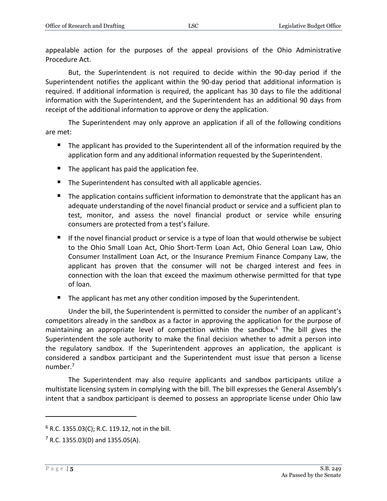appealable action for the purposes of the appeal provisions of the Ohio Administrative Procedure Act.

But, the Superintendent is not required to decide within the 90-day period if the Superintendent notifies the applicant within the 90-day period that additional information is required. If additional information is required, the applicant has 30 days to file the additional information with the Superintendent, and the Superintendent has an additional 90 days from receipt of the additional information to approve or deny the application.

The Superintendent may only approve an application if all of the following conditions are met:

- The applicant has provided to the Superintendent all of the information required by the application form and any additional information requested by the Superintendent.
- $\blacksquare$  The applicant has paid the application fee.
- The Superintendent has consulted with all applicable agencies.
- The application contains sufficient information to demonstrate that the applicant has an adequate understanding of the novel financial product or service and a sufficient plan to test, monitor, and assess the novel financial product or service while ensuring consumers are protected from a test's failure.
- If the novel financial product or service is a type of loan that would otherwise be subject to the Ohio Small Loan Act, Ohio Short-Term Loan Act, Ohio General Loan Law, Ohio Consumer Installment Loan Act, or the Insurance Premium Finance Company Law, the applicant has proven that the consumer will not be charged interest and fees in connection with the loan that exceed the maximum otherwise permitted for that type of loan.
- The applicant has met any other condition imposed by the Superintendent.

Under the bill, the Superintendent is permitted to consider the number of an applicant's competitors already in the sandbox as a factor in approving the application for the purpose of maintaining an appropriate level of competition within the sandbox.<sup>6</sup> The bill gives the Superintendent the sole authority to make the final decision whether to admit a person into the regulatory sandbox. If the Superintendent approves an application, the applicant is considered a sandbox participant and the Superintendent must issue that person a license number. 7

The Superintendent may also require applicants and sandbox participants utilize a multistate licensing system in complying with the bill. The bill expresses the General Assembly's intent that a sandbox participant is deemed to possess an appropriate license under Ohio law

 $6$  R.C. 1355.03(C); R.C. 119.12, not in the bill.

 $7$  R.C. 1355.03(D) and 1355.05(A).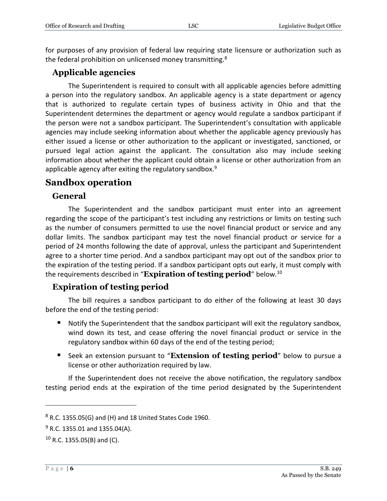for purposes of any provision of federal law requiring state licensure or authorization such as the federal prohibition on unlicensed money transmitting.<sup>8</sup>

#### <span id="page-5-0"></span>**Applicable agencies**

The Superintendent is required to consult with all applicable agencies before admitting a person into the regulatory sandbox. An applicable agency is a state department or agency that is authorized to regulate certain types of business activity in Ohio and that the Superintendent determines the department or agency would regulate a sandbox participant if the person were not a sandbox participant. The Superintendent's consultation with applicable agencies may include seeking information about whether the applicable agency previously has either issued a license or other authorization to the applicant or investigated, sanctioned, or pursued legal action against the applicant. The consultation also may include seeking information about whether the applicant could obtain a license or other authorization from an applicable agency after exiting the regulatory sandbox.<sup>9</sup>

#### <span id="page-5-1"></span>**Sandbox operation**

#### <span id="page-5-2"></span>**General**

The Superintendent and the sandbox participant must enter into an agreement regarding the scope of the participant's test including any restrictions or limits on testing such as the number of consumers permitted to use the novel financial product or service and any dollar limits. The sandbox participant may test the novel financial product or service for a period of 24 months following the date of approval, unless the participant and Superintendent agree to a shorter time period. And a sandbox participant may opt out of the sandbox prior to the expiration of the testing period. If a sandbox participant opts out early, it must comply with the requirements described in "**Expiration of testing period**" below. 10

#### <span id="page-5-3"></span>**Expiration of testing period**

The bill requires a sandbox participant to do either of the following at least 30 days before the end of the testing period:

- Notify the Superintendent that the sandbox participant will exit the regulatory sandbox, wind down its test, and cease offering the novel financial product or service in the regulatory sandbox within 60 days of the end of the testing period;
- Seek an extension pursuant to "**Extension of testing period**" below to pursue a license or other authorization required by law.

If the Superintendent does not receive the above notification, the regulatory sandbox testing period ends at the expiration of the time period designated by the Superintendent

 $8$  R.C. 1355.05(G) and (H) and 18 United States Code 1960.

 $9$  R.C. 1355.01 and 1355.04(A).

 $10$  R.C. 1355.05(B) and (C).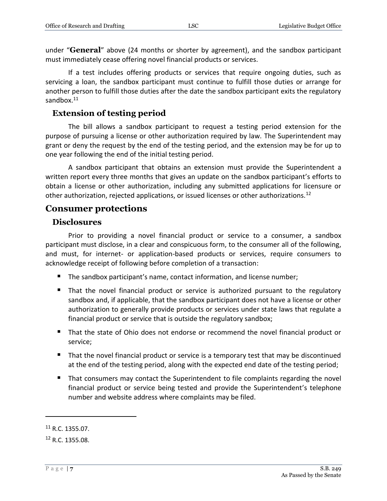under "**General**" above (24 months or shorter by agreement), and the sandbox participant must immediately cease offering novel financial products or services.

If a test includes offering products or services that require ongoing duties, such as servicing a loan, the sandbox participant must continue to fulfill those duties or arrange for another person to fulfill those duties after the date the sandbox participant exits the regulatory sandbox.<sup>11</sup>

#### <span id="page-6-0"></span>**Extension of testing period**

The bill allows a sandbox participant to request a testing period extension for the purpose of pursuing a license or other authorization required by law. The Superintendent may grant or deny the request by the end of the testing period, and the extension may be for up to one year following the end of the initial testing period.

A sandbox participant that obtains an extension must provide the Superintendent a written report every three months that gives an update on the sandbox participant's efforts to obtain a license or other authorization, including any submitted applications for licensure or other authorization, rejected applications, or issued licenses or other authorizations.<sup>12</sup>

#### <span id="page-6-1"></span>**Consumer protections**

#### <span id="page-6-2"></span>**Disclosures**

Prior to providing a novel financial product or service to a consumer, a sandbox participant must disclose, in a clear and conspicuous form, to the consumer all of the following, and must, for internet- or application-based products or services, require consumers to acknowledge receipt of following before completion of a transaction:

- The sandbox participant's name, contact information, and license number;
- That the novel financial product or service is authorized pursuant to the regulatory sandbox and, if applicable, that the sandbox participant does not have a license or other authorization to generally provide products or services under state laws that regulate a financial product or service that is outside the regulatory sandbox;
- That the state of Ohio does not endorse or recommend the novel financial product or service;
- That the novel financial product or service is a temporary test that may be discontinued at the end of the testing period, along with the expected end date of the testing period;
- That consumers may contact the Superintendent to file complaints regarding the novel financial product or service being tested and provide the Superintendent's telephone number and website address where complaints may be filed.

<sup>11</sup> R.C. 1355.07.

<sup>12</sup> R.C. 1355.08.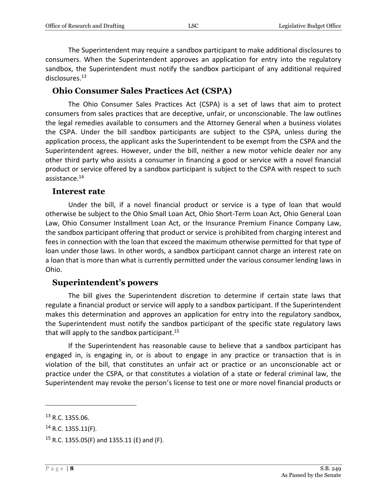The Superintendent may require a sandbox participant to make additional disclosures to consumers. When the Superintendent approves an application for entry into the regulatory sandbox, the Superintendent must notify the sandbox participant of any additional required disclosures.<sup>13</sup>

#### <span id="page-7-0"></span>**Ohio Consumer Sales Practices Act (CSPA)**

The Ohio Consumer Sales Practices Act (CSPA) is a set of laws that aim to protect consumers from sales practices that are deceptive, unfair, or unconscionable. The law outlines the legal remedies available to consumers and the Attorney General when a business violates the CSPA. Under the bill sandbox participants are subject to the CSPA, unless during the application process, the applicant asks the Superintendent to be exempt from the CSPA and the Superintendent agrees. However, under the bill, neither a new motor vehicle dealer nor any other third party who assists a consumer in financing a good or service with a novel financial product or service offered by a sandbox participant is subject to the CSPA with respect to such assistance.<sup>14</sup>

#### <span id="page-7-1"></span>**Interest rate**

Under the bill, if a novel financial product or service is a type of loan that would otherwise be subject to the Ohio Small Loan Act, Ohio Short-Term Loan Act, Ohio General Loan Law, Ohio Consumer Installment Loan Act, or the Insurance Premium Finance Company Law, the sandbox participant offering that product or service is prohibited from charging interest and fees in connection with the loan that exceed the maximum otherwise permitted for that type of loan under those laws. In other words, a sandbox participant cannot charge an interest rate on a loan that is more than what is currently permitted under the various consumer lending laws in Ohio.

#### <span id="page-7-2"></span>**Superintendent's powers**

The bill gives the Superintendent discretion to determine if certain state laws that regulate a financial product or service will apply to a sandbox participant. If the Superintendent makes this determination and approves an application for entry into the regulatory sandbox, the Superintendent must notify the sandbox participant of the specific state regulatory laws that will apply to the sandbox participant. 15

If the Superintendent has reasonable cause to believe that a sandbox participant has engaged in, is engaging in, or is about to engage in any practice or transaction that is in violation of the bill, that constitutes an unfair act or practice or an unconscionable act or practice under the CSPA, or that constitutes a violation of a state or federal criminal law, the Superintendent may revoke the person's license to test one or more novel financial products or

<sup>13</sup> R.C. 1355.06.

 $14$  R.C. 1355.11(F).

<sup>&</sup>lt;sup>15</sup> R.C. 1355.05(F) and 1355.11 (E) and (F).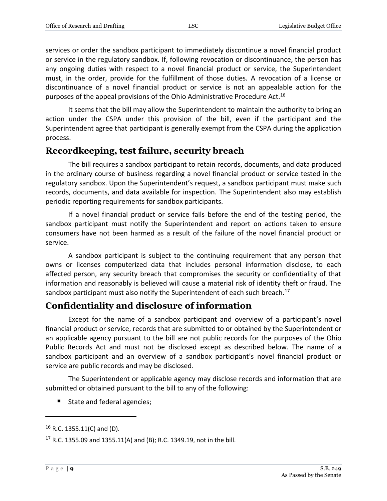services or order the sandbox participant to immediately discontinue a novel financial product or service in the regulatory sandbox. If, following revocation or discontinuance, the person has any ongoing duties with respect to a novel financial product or service, the Superintendent must, in the order, provide for the fulfillment of those duties. A revocation of a license or discontinuance of a novel financial product or service is not an appealable action for the purposes of the appeal provisions of the Ohio Administrative Procedure Act.<sup>16</sup>

It seems that the bill may allow the Superintendent to maintain the authority to bring an action under the CSPA under this provision of the bill, even if the participant and the Superintendent agree that participant is generally exempt from the CSPA during the application process.

#### <span id="page-8-0"></span>**Recordkeeping, test failure, security breach**

The bill requires a sandbox participant to retain records, documents, and data produced in the ordinary course of business regarding a novel financial product or service tested in the regulatory sandbox. Upon the Superintendent's request, a sandbox participant must make such records, documents, and data available for inspection. The Superintendent also may establish periodic reporting requirements for sandbox participants.

If a novel financial product or service fails before the end of the testing period, the sandbox participant must notify the Superintendent and report on actions taken to ensure consumers have not been harmed as a result of the failure of the novel financial product or service.

A sandbox participant is subject to the continuing requirement that any person that owns or licenses computerized data that includes personal information disclose, to each affected person, any security breach that compromises the security or confidentiality of that information and reasonably is believed will cause a material risk of identity theft or fraud. The sandbox participant must also notify the Superintendent of each such breach.<sup>17</sup>

### <span id="page-8-1"></span>**Confidentiality and disclosure of information**

Except for the name of a sandbox participant and overview of a participant's novel financial product or service, records that are submitted to or obtained by the Superintendent or an applicable agency pursuant to the bill are not public records for the purposes of the Ohio Public Records Act and must not be disclosed except as described below. The name of a sandbox participant and an overview of a sandbox participant's novel financial product or service are public records and may be disclosed.

The Superintendent or applicable agency may disclose records and information that are submitted or obtained pursuant to the bill to any of the following:

■ State and federal agencies;

<sup>16</sup> R.C. 1355.11(C) and (D).

<sup>&</sup>lt;sup>17</sup> R.C. 1355.09 and 1355.11(A) and (B); R.C. 1349.19, not in the bill.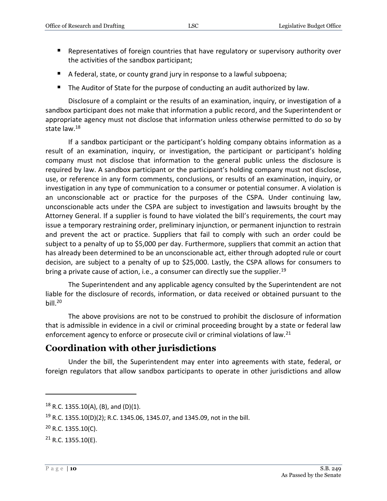- **E** Representatives of foreign countries that have regulatory or supervisory authority over the activities of the sandbox participant;
- A federal, state, or county grand jury in response to a lawful subpoena;
- The Auditor of State for the purpose of conducting an audit authorized by law.

Disclosure of a complaint or the results of an examination, inquiry, or investigation of a sandbox participant does not make that information a public record, and the Superintendent or appropriate agency must not disclose that information unless otherwise permitted to do so by state law.<sup>18</sup>

If a sandbox participant or the participant's holding company obtains information as a result of an examination, inquiry, or investigation, the participant or participant's holding company must not disclose that information to the general public unless the disclosure is required by law. A sandbox participant or the participant's holding company must not disclose, use, or reference in any form comments, conclusions, or results of an examination, inquiry, or investigation in any type of communication to a consumer or potential consumer. A violation is an unconscionable act or practice for the purposes of the CSPA. Under continuing law, unconscionable acts under the CSPA are subject to investigation and lawsuits brought by the Attorney General. If a supplier is found to have violated the bill's requirements, the court may issue a temporary restraining order, preliminary injunction, or permanent injunction to restrain and prevent the act or practice. Suppliers that fail to comply with such an order could be subject to a penalty of up to \$5,000 per day. Furthermore, suppliers that commit an action that has already been determined to be an unconscionable act, either through adopted rule or court decision, are subject to a penalty of up to \$25,000. Lastly, the CSPA allows for consumers to bring a private cause of action, i.e., a consumer can directly sue the supplier.<sup>19</sup>

The Superintendent and any applicable agency consulted by the Superintendent are not liable for the disclosure of records, information, or data received or obtained pursuant to the bill. $^{20}$ 

The above provisions are not to be construed to prohibit the disclosure of information that is admissible in evidence in a civil or criminal proceeding brought by a state or federal law enforcement agency to enforce or prosecute civil or criminal violations of law.<sup>21</sup>

#### <span id="page-9-0"></span>**Coordination with other jurisdictions**

Under the bill, the Superintendent may enter into agreements with state, federal, or foreign regulators that allow sandbox participants to operate in other jurisdictions and allow

 $18$  R.C. 1355.10(A), (B), and (D)(1).

<sup>&</sup>lt;sup>19</sup> R.C. 1355.10(D)(2); R.C. 1345.06, 1345.07, and 1345.09, not in the bill.

 $20$  R.C. 1355.10(C).

 $21$  R.C. 1355.10(E).